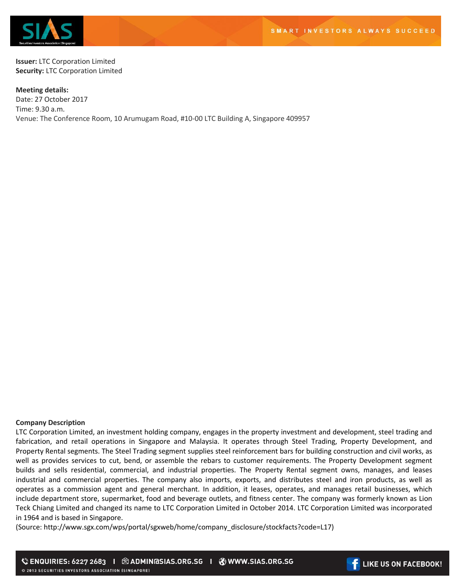

**Issuer:** LTC Corporation Limited **Security:** LTC Corporation Limited

**Meeting details:**  Date: 27 October 2017 Time: 9.30 a.m. Venue: The Conference Room, 10 Arumugam Road, #10-00 LTC Building A, Singapore 409957

## **Company Description**

LTC Corporation Limited, an investment holding company, engages in the property investment and development, steel trading and fabrication, and retail operations in Singapore and Malaysia. It operates through Steel Trading, Property Development, and Property Rental segments. The Steel Trading segment supplies steel reinforcement bars for building construction and civil works, as well as provides services to cut, bend, or assemble the rebars to customer requirements. The Property Development segment builds and sells residential, commercial, and industrial properties. The Property Rental segment owns, manages, and leases industrial and commercial properties. The company also imports, exports, and distributes steel and iron products, as well as operates as a commission agent and general merchant. In addition, it leases, operates, and manages retail businesses, which include department store, supermarket, food and beverage outlets, and fitness center. The company was formerly known as Lion Teck Chiang Limited and changed its name to LTC Corporation Limited in October 2014. LTC Corporation Limited was incorporated in 1964 and is based in Singapore.

(Source: http://www.sgx.com/wps/portal/sgxweb/home/company\_disclosure/stockfacts?code=L17)

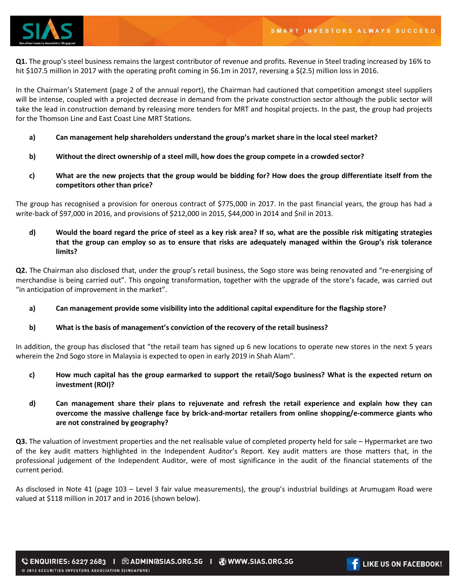

**Q1.** The group's steel business remains the largest contributor of revenue and profits. Revenue in Steel trading increased by 16% to hit \$107.5 million in 2017 with the operating profit coming in \$6.1m in 2017, reversing a \$(2.5) million loss in 2016.

In the Chairman's Statement (page 2 of the annual report), the Chairman had cautioned that competition amongst steel suppliers will be intense, coupled with a projected decrease in demand from the private construction sector although the public sector will take the lead in construction demand by releasing more tenders for MRT and hospital projects. In the past, the group had projects for the Thomson Line and East Coast Line MRT Stations.

- **a) Can management help shareholders understand the group's market share in the local steel market?**
- **b) Without the direct ownership of a steel mill, how does the group compete in a crowded sector?**
- **c) What are the new projects that the group would be bidding for? How does the group differentiate itself from the competitors other than price?**

The group has recognised a provision for onerous contract of \$775,000 in 2017. In the past financial years, the group has had a write-back of \$97,000 in 2016, and provisions of \$212,000 in 2015, \$44,000 in 2014 and \$nil in 2013.

**d) Would the board regard the price of steel as a key risk area? If so, what are the possible risk mitigating strategies that the group can employ so as to ensure that risks are adequately managed within the Group's risk tolerance limits?** 

**Q2.** The Chairman also disclosed that, under the group's retail business, the Sogo store was being renovated and "re-energising of merchandise is being carried out". This ongoing transformation, together with the upgrade of the store's facade, was carried out "in anticipation of improvement in the market".

**a) Can management provide some visibility into the additional capital expenditure for the flagship store?**

# **b) What is the basis of management's conviction of the recovery of the retail business?**

In addition, the group has disclosed that "the retail team has signed up 6 new locations to operate new stores in the next 5 years wherein the 2nd Sogo store in Malaysia is expected to open in early 2019 in Shah Alam".

- **c) How much capital has the group earmarked to support the retail/Sogo business? What is the expected return on investment (ROI)?**
- **d) Can management share their plans to rejuvenate and refresh the retail experience and explain how they can overcome the massive challenge face by brick-and-mortar retailers from online shopping/e-commerce giants who are not constrained by geography?**

**Q3.** The valuation of investment properties and the net realisable value of completed property held for sale – Hypermarket are two of the key audit matters highlighted in the Independent Auditor's Report. Key audit matters are those matters that, in the professional judgement of the Independent Auditor, were of most significance in the audit of the financial statements of the current period.

As disclosed in Note 41 (page 103 – Level 3 fair value measurements), the group's industrial buildings at Arumugam Road were valued at \$118 million in 2017 and in 2016 (shown below).